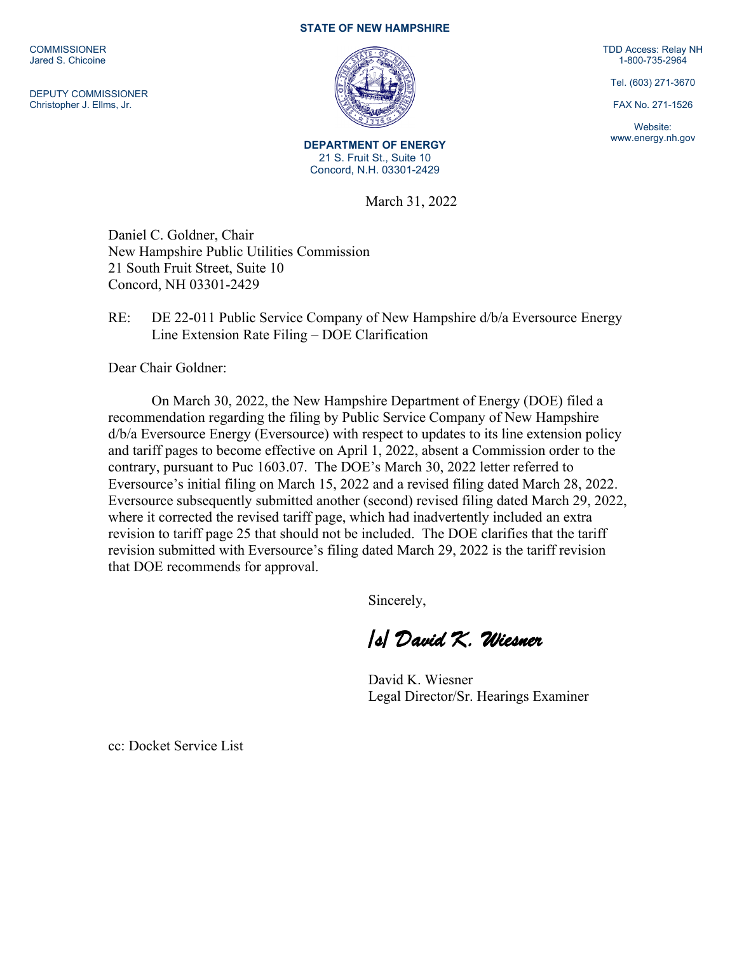**COMMISSIONER** Jared S. Chicoine

DEPUTY COMMISSIONER Christopher J. Ellms, Jr.

## **STATE OF NEW HAMPSHIRE**



**DEPARTMENT OF ENERGY** 21 S. Fruit St., Suite 10 Concord, N.H. 03301-2429

March 31, 2022

Daniel C. Goldner, Chair New Hampshire Public Utilities Commission 21 South Fruit Street, Suite 10 Concord, NH 03301-2429

## RE: DE 22-011 Public Service Company of New Hampshire d/b/a Eversource Energy Line Extension Rate Filing – DOE Clarification

Dear Chair Goldner:

On March 30, 2022, the New Hampshire Department of Energy (DOE) filed a recommendation regarding the filing by Public Service Company of New Hampshire d/b/a Eversource Energy (Eversource) with respect to updates to its line extension policy and tariff pages to become effective on April 1, 2022, absent a Commission order to the contrary, pursuant to Puc 1603.07. The DOE's March 30, 2022 letter referred to Eversource's initial filing on March 15, 2022 and a revised filing dated March 28, 2022. Eversource subsequently submitted another (second) revised filing dated March 29, 2022, where it corrected the revised tariff page, which had inadvertently included an extra revision to tariff page 25 that should not be included. The DOE clarifies that the tariff revision submitted with Eversource's filing dated March 29, 2022 is the tariff revision that DOE recommends for approval.

Sincerely,

*/s/ David K. Wiesner* 

David K. Wiesner Legal Director/Sr. Hearings Examiner

cc: Docket Service List

TDD Access: Relay NH 1-800-735-2964

Tel. (603) 271-3670

FAX No. 271-1526

Website: www.energy.nh.gov